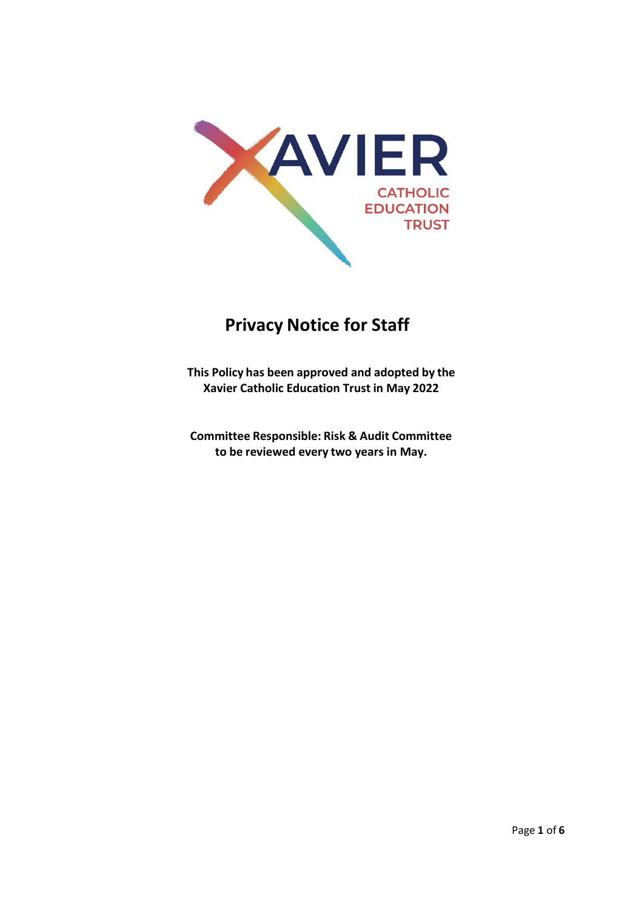

# **Privacy Notice for Staff**

**This Policy has been approved and adopted by the Xavier Catholic Education Trust in May 2022**

**Committee Responsible: Risk & Audit Committee to be reviewed every two years in May.**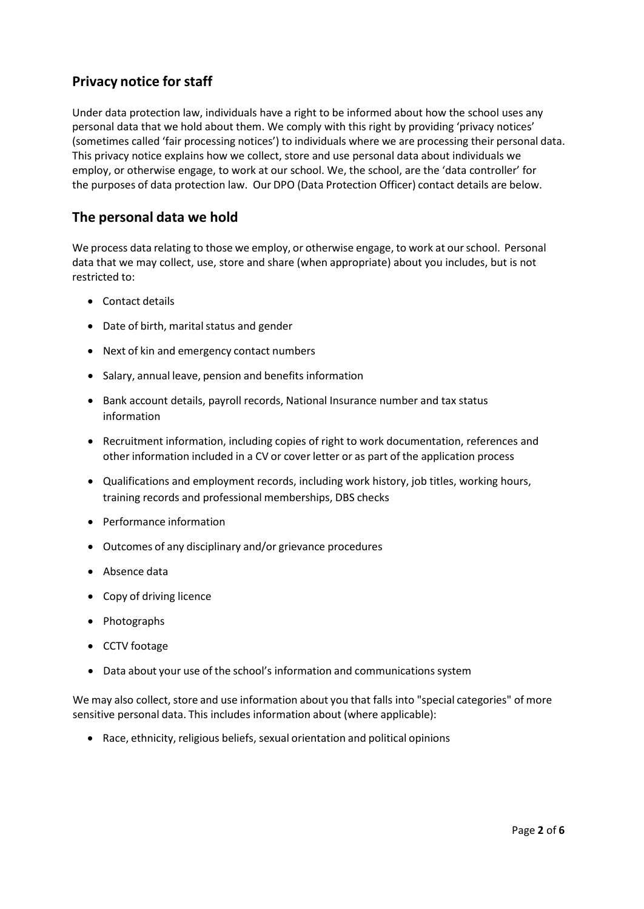## **Privacy notice for staff**

Under data protection law, individuals have a right to be informed about how the school uses any personal data that we hold about them. We comply with this right by providing 'privacy notices' (sometimes called 'fair processing notices') to individuals where we are processing their personal data. This privacy notice explains how we collect, store and use personal data about individuals we employ, or otherwise engage, to work at our school. We, the school, are the 'data controller' for the purposes of data protection law. Our DPO (Data Protection Officer) contact details are below.

# **The personal data we hold**

We process data relating to those we employ, or otherwise engage, to work at ourschool. Personal data that we may collect, use, store and share (when appropriate) about you includes, but is not restricted to:

- Contact details
- Date of birth, marital status and gender
- Next of kin and emergency contact numbers
- Salary, annual leave, pension and benefits information
- Bank account details, payroll records, National Insurance number and tax status information
- Recruitment information, including copies of right to work documentation, references and other information included in a CV or cover letter or as part of the application process
- Qualifications and employment records, including work history, job titles, working hours, training records and professional memberships, DBS checks
- Performance information
- Outcomes of any disciplinary and/or grievance procedures
- Absence data
- Copy of driving licence
- Photographs
- CCTV footage
- Data about your use of the school's information and communications system

We may also collect, store and use information about you that falls into "special categories" of more sensitive personal data. This includes information about (where applicable):

• Race, ethnicity, religious beliefs, sexual orientation and political opinions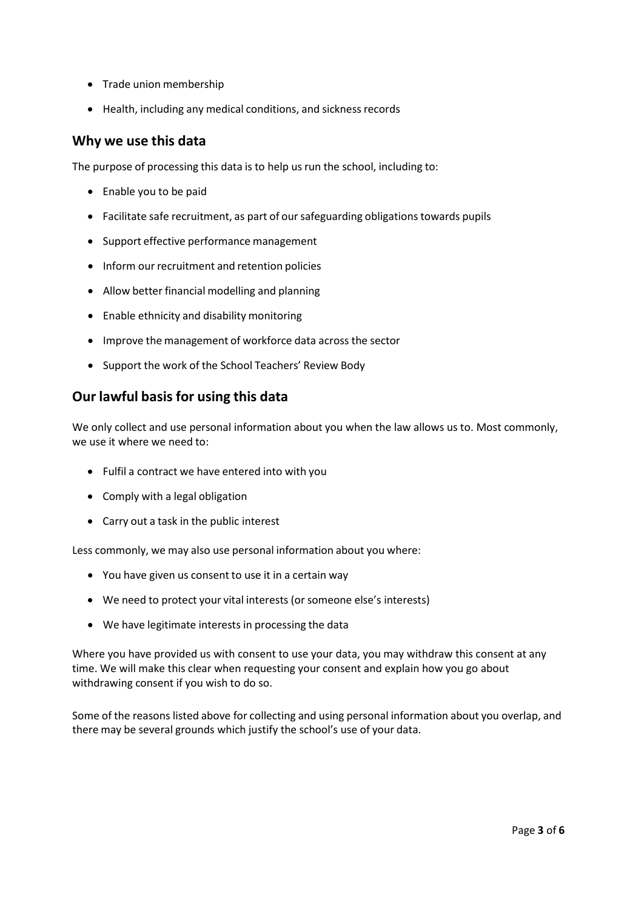- Trade union membership
- Health, including any medical conditions, and sickness records

#### **Why we use this data**

The purpose of processing this data is to help us run the school, including to:

- Enable you to be paid
- Facilitate safe recruitment, as part of our safeguarding obligations towards pupils
- Support effective performance management
- Inform our recruitment and retention policies
- Allow better financial modelling and planning
- Enable ethnicity and disability monitoring
- Improve the management of workforce data across the sector
- Support the work of the School Teachers' Review Body

## **Our lawful basis for using this data**

We only collect and use personal information about you when the law allows us to. Most commonly, we use it where we need to:

- Fulfil a contract we have entered into with you
- Comply with a legal obligation
- Carry out a task in the public interest

Less commonly, we may also use personal information about you where:

- You have given us consent to use it in a certain way
- We need to protect your vital interests (or someone else's interests)
- We have legitimate interests in processing the data

Where you have provided us with consent to use your data, you may withdraw this consent at any time. We will make this clear when requesting your consent and explain how you go about withdrawing consent if you wish to do so.

Some of the reasons listed above for collecting and using personal information about you overlap, and there may be several grounds which justify the school's use of your data.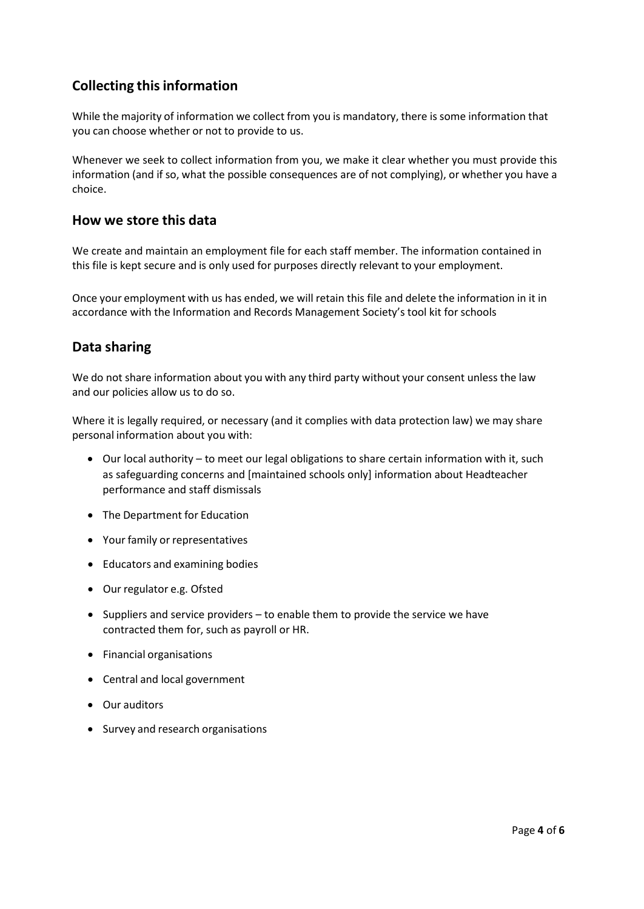# **Collecting thisinformation**

While the majority of information we collect from you is mandatory, there is some information that you can choose whether or not to provide to us.

Whenever we seek to collect information from you, we make it clear whether you must provide this information (and if so, what the possible consequences are of not complying), or whether you have a choice.

#### **How we store this data**

We create and maintain an employment file for each staff member. The information contained in this file is kept secure and is only used for purposes directly relevant to your employment.

Once your employment with us has ended, we will retain this file and delete the information in it in accordance with the Information and Records Management Society's tool kit for schools

#### **Data sharing**

We do not share information about you with any third party without your consent unless the law and our policies allow us to do so.

Where it is legally required, or necessary (and it complies with data protection law) we may share personal information about you with:

- Our local authority to meet our legal obligations to share certain information with it, such as safeguarding concerns and [maintained schools only] information about Headteacher performance and staff dismissals
- The Department for Education
- Your family or representatives
- Educators and examining bodies
- Our regulator e.g. Ofsted
- Suppliers and service providers to enable them to provide the service we have contracted them for, such as payroll or HR.
- Financial organisations
- Central and local government
- Our auditors
- Survey and research organisations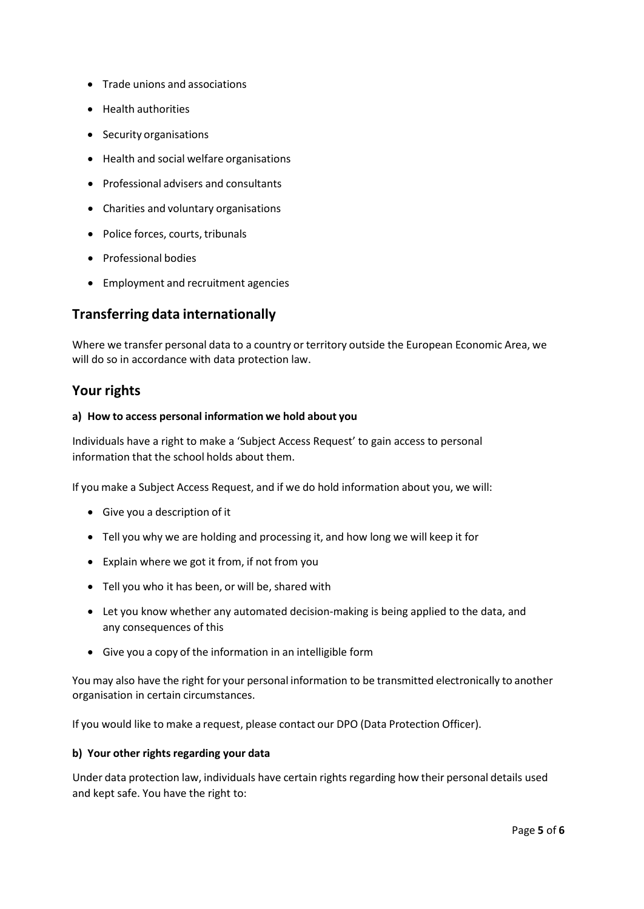- Trade unions and associations
- Health authorities
- Security organisations
- Health and social welfare organisations
- Professional advisers and consultants
- Charities and voluntary organisations
- Police forces, courts, tribunals
- Professional bodies
- Employment and recruitment agencies

## **Transferring data internationally**

Where we transfer personal data to a country or territory outside the European Economic Area, we will do so in accordance with data protection law.

#### **Your rights**

#### **a) How to access personal information we hold about you**

Individuals have a right to make a 'Subject Access Request' to gain access to personal information that the school holds about them.

If you make a Subject Access Request, and if we do hold information about you, we will:

- Give you a description of it
- Tell you why we are holding and processing it, and how long we will keep it for
- Explain where we got it from, if not from you
- Tell you who it has been, or will be, shared with
- Let you know whether any automated decision-making is being applied to the data, and any consequences of this
- Give you a copy of the information in an intelligible form

You may also have the right for your personal information to be transmitted electronically to another organisation in certain circumstances.

If you would like to make a request, please contact our DPO (Data Protection Officer).

#### **b)** Your other rights regarding your data

Under data protection law, individuals have certain rights regarding how their personal details used and kept safe. You have the right to: